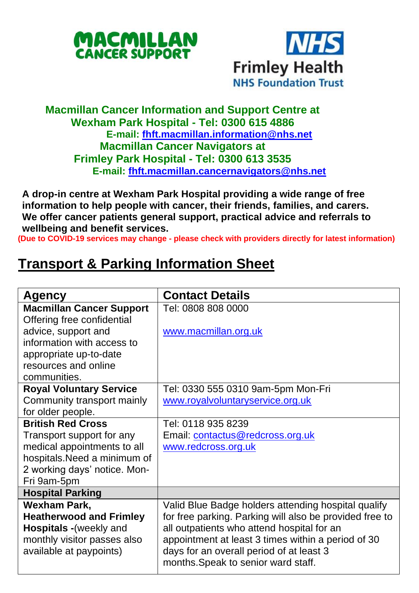



## **Macmillan Cancer Information and Support Centre at Wexham Park Hospital - Tel: 0300 615 4886 E-mail: [fhft.macmillan.information@nhs.net](mailto:fhft.macmillan.information@nhs.net) Macmillan Cancer Navigators at Frimley Park Hospital - Tel: 0300 613 3535 E-mail: [fhft.macmillan.cancernavigators@nhs.net](mailto:fhft.macmillan.cancernavigators@nhs.net)**

**A drop-in centre at Wexham Park Hospital providing a wide range of free information to help people with cancer, their friends, families, and carers. We offer cancer patients general support, practical advice and referrals to wellbeing and benefit services.**

**(Due to COVID-19 services may change - please check with providers directly for latest information)**

## **Transport & Parking Information Sheet**

| Agency                          | <b>Contact Details</b>                                  |
|---------------------------------|---------------------------------------------------------|
| <b>Macmillan Cancer Support</b> | Tel: 0808 808 0000                                      |
| Offering free confidential      |                                                         |
| advice, support and             | www.macmillan.org.uk                                    |
| information with access to      |                                                         |
| appropriate up-to-date          |                                                         |
| resources and online            |                                                         |
| communities.                    |                                                         |
| <b>Royal Voluntary Service</b>  | Tel: 0330 555 0310 9am-5pm Mon-Fri                      |
| Community transport mainly      | www.royalvoluntaryservice.org.uk                        |
| for older people.               |                                                         |
| <b>British Red Cross</b>        | Tel: 0118 935 8239                                      |
| Transport support for any       | Email: contactus@redcross.org.uk                        |
| medical appointments to all     | www.redcross.org.uk                                     |
| hospitals.Need a minimum of     |                                                         |
| 2 working days' notice. Mon-    |                                                         |
| Fri 9am-5pm                     |                                                         |
| <b>Hospital Parking</b>         |                                                         |
| Wexham Park,                    | Valid Blue Badge holders attending hospital qualify     |
| <b>Heatherwood and Frimley</b>  | for free parking. Parking will also be provided free to |
| Hospitals - (weekly and         | all outpatients who attend hospital for an              |
| monthly visitor passes also     | appointment at least 3 times within a period of 30      |
| available at paypoints)         | days for an overall period of at least 3                |
|                                 | months. Speak to senior ward staff.                     |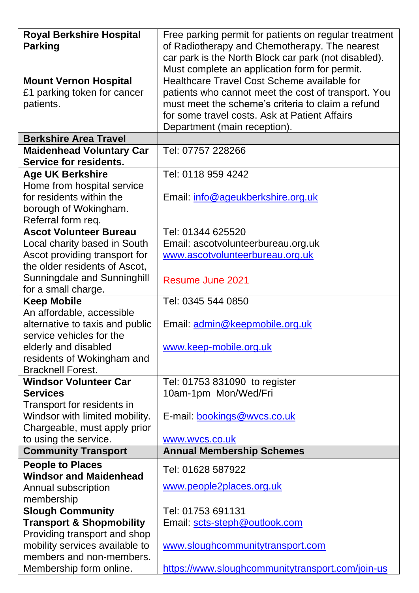| <b>Royal Berkshire Hospital</b>     | Free parking permit for patients on regular treatment |
|-------------------------------------|-------------------------------------------------------|
| <b>Parking</b>                      | of Radiotherapy and Chemotherapy. The nearest         |
|                                     | car park is the North Block car park (not disabled).  |
|                                     | Must complete an application form for permit.         |
| <b>Mount Vernon Hospital</b>        | Healthcare Travel Cost Scheme available for           |
| £1 parking token for cancer         | patients who cannot meet the cost of transport. You   |
| patients.                           | must meet the scheme's criteria to claim a refund     |
|                                     | for some travel costs. Ask at Patient Affairs         |
|                                     | Department (main reception).                          |
| <b>Berkshire Area Travel</b>        |                                                       |
| <b>Maidenhead Voluntary Car</b>     | Tel: 07757 228266                                     |
| Service for residents.              |                                                       |
| <b>Age UK Berkshire</b>             | Tel: 0118 959 4242                                    |
| Home from hospital service          |                                                       |
| for residents within the            |                                                       |
|                                     | Email: info@ageukberkshire.org.uk                     |
| borough of Wokingham.               |                                                       |
| Referral form req.                  |                                                       |
| <b>Ascot Volunteer Bureau</b>       | Tel: 01344 625520                                     |
| Local charity based in South        | Email: ascotvolunteerbureau.org.uk                    |
| Ascot providing transport for       | www.ascotvolunteerbureau.org.uk                       |
| the older residents of Ascot,       |                                                       |
| Sunningdale and Sunninghill         | Resume June 2021                                      |
| for a small charge.                 |                                                       |
| <b>Keep Mobile</b>                  | Tel: 0345 544 0850                                    |
| An affordable, accessible           |                                                       |
| alternative to taxis and public     | Email: admin@keepmobile.org.uk                        |
| service vehicles for the            |                                                       |
| elderly and disabled                | www.keep-mobile.org.uk                                |
| residents of Wokingham and          |                                                       |
| <b>Bracknell Forest.</b>            |                                                       |
| <b>Windsor Volunteer Car</b>        | Tel: 01753 831090 to register                         |
| Services                            | 10am-1pm Mon/Wed/Fri                                  |
| Transport for residents in          |                                                       |
| Windsor with limited mobility.      | E-mail: bookings@wvcs.co.uk                           |
| Chargeable, must apply prior        |                                                       |
| to using the service.               | www.wvcs.co.uk                                        |
| <b>Community Transport</b>          | <b>Annual Membership Schemes</b>                      |
| <b>People to Places</b>             |                                                       |
| <b>Windsor and Maidenhead</b>       | Tel: 01628 587922                                     |
| Annual subscription                 | www.people2places.org.uk                              |
| membership                          |                                                       |
| <b>Slough Community</b>             | Tel: 01753 691131                                     |
| <b>Transport &amp; Shopmobility</b> | Email: scts-steph@outlook.com                         |
| Providing transport and shop        |                                                       |
| mobility services available to      | www.sloughcommunitytransport.com                      |
| members and non-members.            |                                                       |
| Membership form online.             | https://www.sloughcommunitytransport.com/join-us      |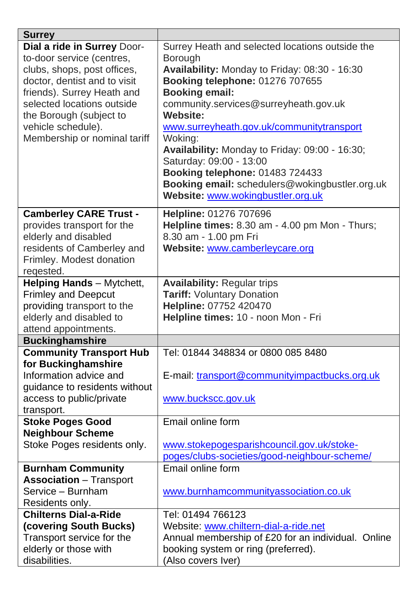| Dial a ride in Surrey Door-<br>to-door service (centres,<br>clubs, shops, post offices,<br>doctor, dentist and to visit<br>friends). Surrey Heath and | Surrey Heath and selected locations outside the<br>Borough<br>Availability: Monday to Friday: 08:30 - 16:30<br>Booking telephone: 01276 707655<br><b>Booking email:</b><br>community.services@surreyheath.gov.uk<br><b>Website:</b> |
|-------------------------------------------------------------------------------------------------------------------------------------------------------|-------------------------------------------------------------------------------------------------------------------------------------------------------------------------------------------------------------------------------------|
|                                                                                                                                                       |                                                                                                                                                                                                                                     |
|                                                                                                                                                       |                                                                                                                                                                                                                                     |
|                                                                                                                                                       |                                                                                                                                                                                                                                     |
|                                                                                                                                                       |                                                                                                                                                                                                                                     |
|                                                                                                                                                       |                                                                                                                                                                                                                                     |
| selected locations outside                                                                                                                            |                                                                                                                                                                                                                                     |
| the Borough (subject to                                                                                                                               |                                                                                                                                                                                                                                     |
| vehicle schedule).                                                                                                                                    | www.surreyheath.gov.uk/communitytransport                                                                                                                                                                                           |
| Membership or nominal tariff                                                                                                                          | Woking:                                                                                                                                                                                                                             |
|                                                                                                                                                       | Availability: Monday to Friday: 09:00 - 16:30;                                                                                                                                                                                      |
|                                                                                                                                                       | Saturday: 09:00 - 13:00                                                                                                                                                                                                             |
|                                                                                                                                                       | Booking telephone: 01483 724433                                                                                                                                                                                                     |
|                                                                                                                                                       | Booking email: schedulers@wokingbustler.org.uk                                                                                                                                                                                      |
|                                                                                                                                                       | Website: www.wokingbustler.org.uk                                                                                                                                                                                                   |
| <b>Camberley CARE Trust -</b>                                                                                                                         | Helpline: 01276 707696                                                                                                                                                                                                              |
| provides transport for the                                                                                                                            | Helpline times: 8.30 am - 4.00 pm Mon - Thurs;                                                                                                                                                                                      |
| elderly and disabled                                                                                                                                  | 8.30 am - 1.00 pm Fri                                                                                                                                                                                                               |
| residents of Camberley and                                                                                                                            | Website: www.camberleycare.org                                                                                                                                                                                                      |
| Frimley. Modest donation                                                                                                                              |                                                                                                                                                                                                                                     |
| regested.                                                                                                                                             |                                                                                                                                                                                                                                     |
| Helping Hands - Mytchett,                                                                                                                             | <b>Availability: Regular trips</b>                                                                                                                                                                                                  |
| <b>Frimley and Deepcut</b>                                                                                                                            | Tariff: Voluntary Donation                                                                                                                                                                                                          |
| providing transport to the                                                                                                                            | Helpline: 07752 420470                                                                                                                                                                                                              |
| elderly and disabled to                                                                                                                               | Helpline times: 10 - noon Mon - Fri                                                                                                                                                                                                 |
| attend appointments.                                                                                                                                  |                                                                                                                                                                                                                                     |
| <b>Buckinghamshire</b>                                                                                                                                |                                                                                                                                                                                                                                     |
| <b>Community Transport Hub</b>                                                                                                                        | Tel: 01844 348834 or 0800 085 8480                                                                                                                                                                                                  |
| for Buckinghamshire                                                                                                                                   |                                                                                                                                                                                                                                     |
| Information advice and                                                                                                                                | E-mail: transport@communityimpactbucks.org.uk                                                                                                                                                                                       |
| guidance to residents without                                                                                                                         |                                                                                                                                                                                                                                     |
| access to public/private                                                                                                                              | www.buckscc.gov.uk                                                                                                                                                                                                                  |
| transport.                                                                                                                                            |                                                                                                                                                                                                                                     |
| <b>Stoke Poges Good</b>                                                                                                                               | Email online form                                                                                                                                                                                                                   |
| <b>Neighbour Scheme</b>                                                                                                                               |                                                                                                                                                                                                                                     |
| Stoke Poges residents only.                                                                                                                           | www.stokepogesparishcouncil.gov.uk/stoke-                                                                                                                                                                                           |
|                                                                                                                                                       | poges/clubs-societies/good-neighbour-scheme/                                                                                                                                                                                        |
| <b>Burnham Community</b>                                                                                                                              | Email online form                                                                                                                                                                                                                   |
| <b>Association</b> - Transport                                                                                                                        |                                                                                                                                                                                                                                     |
| Service - Burnham                                                                                                                                     | www.burnhamcommunityassociation.co.uk                                                                                                                                                                                               |
| Residents only.                                                                                                                                       |                                                                                                                                                                                                                                     |
| <b>Chilterns Dial-a-Ride</b>                                                                                                                          | Tel: 01494 766123                                                                                                                                                                                                                   |
|                                                                                                                                                       |                                                                                                                                                                                                                                     |
| Transport service for the                                                                                                                             | Annual membership of £20 for an individual. Online                                                                                                                                                                                  |
| elderly or those with                                                                                                                                 | booking system or ring (preferred).                                                                                                                                                                                                 |
| disabilities.                                                                                                                                         | (Also covers Iver)                                                                                                                                                                                                                  |
| (covering South Bucks)                                                                                                                                | Website: www.chiltern-dial-a-ride.net                                                                                                                                                                                               |